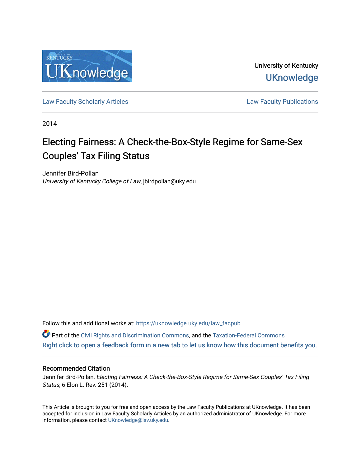

University of Kentucky **UKnowledge** 

[Law Faculty Scholarly Articles](https://uknowledge.uky.edu/law_facpub) **Law Faculty Publications** 

2014

# Electing Fairness: A Check-the-Box-Style Regime for Same-Sex Couples' Tax Filing Status

Jennifer Bird-Pollan University of Kentucky College of Law, jbirdpollan@uky.edu

Follow this and additional works at: [https://uknowledge.uky.edu/law\\_facpub](https://uknowledge.uky.edu/law_facpub?utm_source=uknowledge.uky.edu%2Flaw_facpub%2F497&utm_medium=PDF&utm_campaign=PDFCoverPages)

Part of the [Civil Rights and Discrimination Commons,](http://network.bepress.com/hgg/discipline/585?utm_source=uknowledge.uky.edu%2Flaw_facpub%2F497&utm_medium=PDF&utm_campaign=PDFCoverPages) and the [Taxation-Federal Commons](http://network.bepress.com/hgg/discipline/881?utm_source=uknowledge.uky.edu%2Flaw_facpub%2F497&utm_medium=PDF&utm_campaign=PDFCoverPages) [Right click to open a feedback form in a new tab to let us know how this document benefits you.](https://uky.az1.qualtrics.com/jfe/form/SV_9mq8fx2GnONRfz7)

## Recommended Citation

Jennifer Bird-Pollan, Electing Fairness: A Check-the-Box-Style Regime for Same-Sex Couples' Tax Filing Status, 6 Elon L. Rev. 251 (2014).

This Article is brought to you for free and open access by the Law Faculty Publications at UKnowledge. It has been accepted for inclusion in Law Faculty Scholarly Articles by an authorized administrator of UKnowledge. For more information, please contact [UKnowledge@lsv.uky.edu](mailto:UKnowledge@lsv.uky.edu).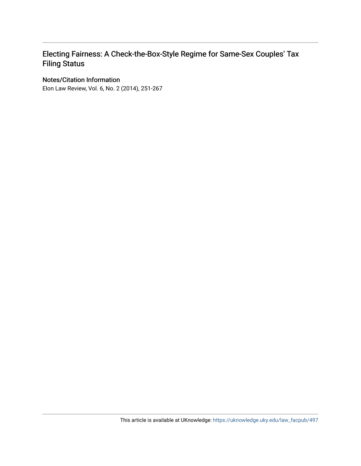## Electing Fairness: A Check-the-Box-Style Regime for Same-Sex Couples' Tax Filing Status

## Notes/Citation Information

Elon Law Review, Vol. 6, No. 2 (2014), 251-267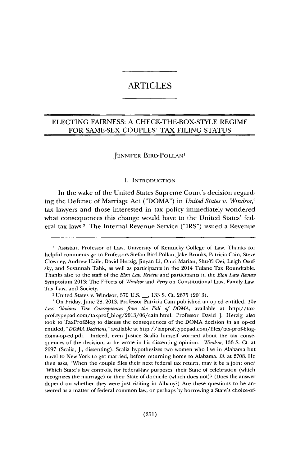## ARTICLES

## **ELECTING FAIRNESS: A** CHECK-THE-BOX-STYLE REGIME FOR **SAME-SEX COUPLES' TAX FILING STATUS**

#### **JENNIFER** BIRD-POLLAN'

#### **I. INTRODUCTION**

In the wake of the United States Supreme Court's decision regarding the Defense of Marriage Act ("DOMA") in *United States v. Windsor,'* tax lawyers and those interested in tax policy immediately wondered what consequences this change would have to the United States' federal tax laws.' The Internal Revenue Service ("IRS") issued a Revenue

Tax Law, and Society. 2 United States v. Windsor, **570 U.S. \_, 133 S.** Ct. **2675 (2013).**

On Friday, June **28, 2013,** Professor Patricia Cain published an op-ed entitled, *The Less Obvious Tax Consequences from the Fall of DOMA,* available at http://taxprof.typepad.com/taxprof..blog/2013/06/cain.htmi. Professor David **J.** Herzig also took to TaxProfBlog to discuss the consequences of the **DOMA** decision in an op-ed entitled, *"DOMA Decisions,"* available at http://taxprof.typepad.com/files/tax-prof-blogdoma-op-ed.pdf. Indeed, even Justice Scalia himself worried about the tax consequences of the decision, as he wrote in his dissenting opinion. *Windsor,* **133 S.** Ct. at **2697** (Scalia, **J.,** dissenting). Scalia hypothesizes two women who live in Alabama but travel to New York to get married, before returning home to Alabama. *Id.* at **2708.** He then asks, "When the couple files their next federal tax return, may it be a joint one? Which State's law controls, for federal-law purposes: their State of celebration (which recognizes the marriage) or their State of domicile (which does not)? (Does the answer depend on whether they were just visiting in Albany?) Are these questions to be answered as a matter of federal common law, or perhaps **by** borrowing a State's choice-of-

**I** Assistant Professor of Law, University of Kentucky College of Law. Thanks for helpful comments go to Professors Stefan Bird-Pollan, Jake Brooks, Patricia Cain, Steve Clowney, Andrew Haile, David Herzig, Jinyan Li, Omri Marian, Shu-Yi Oei, Leigh Osofsky, and Susannah Tahk, as well as participants in the 2014 Tulane Tax Roundtable. Thanks also to the staff of the *Elon Law Review* and participants in the *Elon Law Review* Symposium **2013:** The Effects of *Windsor* and *Perry* on Constitutional Law, Family Law,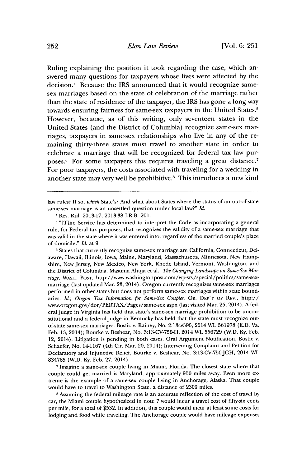Ruling explaining the position it took regarding the case, which answered many questions for taxpayers whose lives were affected **by** the decision.4 Because the IRS announced that it would recognize samesex marriages based on the state of celebration of the marriage rather than the state of residence of the taxpayer, the IRS has gone a long way towards ensuring fairness for same-sex taxpayers in the United States.<sup>5</sup> However, because, as of this writing, only seventeen states in the United States (and the District of Columbia) recognize same-sex marriages, taxpayers in same-sex relationships who live in any of the remaining thirty-three states must travel to another state in order to celebrate a marriage that will be recognized for federal tax law purposes.' For some taxpayers this requires traveling a great distance.' For poor taxpayers, the costs associated with traveling for a wedding in another state may very well be prohibitive.8 This introduces a new kind

law rules? **If** so, *which* State's? And what about States where the status of an out-of-state same-sex marriage is an unsettled question under local law?" *Id.*

**6** States that currently recognize same-sex marriage are California, Connecticut, Delaware, Hawaii, Illinois, Iowa, Maine, Maryland, Massachusetts, Minnesota, New Hampshire, New Jersey, New Mexico, New York, Rhode Island, Vermont, Washington, and the District of Columbia. Masuma Ahuja et al., *The Changing Landscape on Same-Sex Marriage,* **WASH.** PosT, http://www.washingtonpost.com/wp-srv/special/politics/same-sexmarriage (last updated Mar. **23,** 2014). Oregon currently recognizes same-sex marriages performed in other states but does not perform same-sex marriages within state boundaries. *Id.; Oregon Tax Information for Same-Sex Couples,* OR. **DEP'T OF REv.,** http:// www.oregon.gov/dor/PERTAX/Pages/same-sex.aspx (last visited Mar. **25,** 2014). **A** federal judge in Virginia has held that state's same-sex marriage prohibition to be unconstitutional and a federal judge in Kentucky has held that the state must recognize outof-state same-sex marriages. Bostic v. Rainey, No. 2:13cv395, 2014 WL **561978 (E.D.** Va. Feb. **13,** 2014); Bourke v. Beshear, No. **3:13-CV-750-H,** 2014 WL **556729** (W.D. **Ky.** Feb. 12, 2014). Litigation is pending in both cases. Oral Argument Notification, Bostic v. Schaefer, No. 14-1167 (4th Cir. Mar. 20, 2014); Intervening Complaint and Petition for Declaratory and Injunctive Relief, Bourke v. Beshear, No. **3:13-CV-750-JGH,** 2014 **IWL 834785** (W.D. **Ky.** Feb. **27,** 2014).

**<sup>7</sup>**Imagine a same-sex couple living in Miami, Florida. The closest state where that couple could get married is Maryland, approximately **950** miles away. Even more extreme is the example of a same-sex couple living in Anchorage, Alaska. That couple would have to travel to Washington State, a distance of **2300** miles.

**8** Assuming the federal mileage rate is an accurate reflection of the cost of travel **by** car, the Miami couple hypothesized in note **7** would incur a travel cost of fifty-six cents per mile, for a total of **\$532.** In addition, this couple would incur at least some costs for lodging and food while traveling. The Anchorage couple would have mileage expenses

<sup>4</sup> Rev. Rul. **2013-17, 2013-38** I.R.B. 201.

<sup>5&</sup>quot;[Tlhe Service has determined to interpret the Code as incorporating a general rule, for Federal tax purposes, that recognizes the validity of a same-sex marriage that was valid in the state where it was entered into, regardless of the married couple's place of domicile." *Id.* at **9.**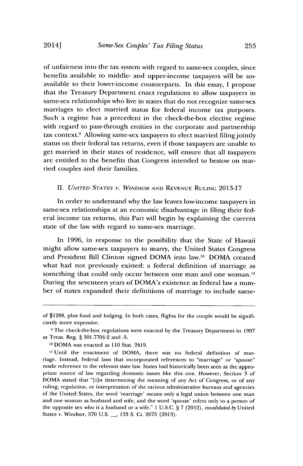of unfairness into the tax system with regard to same-sex couples, since benefits available to middle- and upper-income taxpayers will be unavailable to their lower-income counterparts. In this essay, **I** propose that the Treasury Department enact regulations to allow taxpayers in same-sex relationships who live in states that do not recognize same-sex marriages to elect married status for federal income tax purposes. Such a regime has a precedent in the check-the-box elective regime with regard to pass-through entities in the corporate and partnership tax context.<sup>9</sup> Allowing same-sex taxpayers to elect married filing jointly status on their federal tax returns, even if those taxpayers are unable to get married in their states of residence, will ensure that all taxpayers are entitled to the benefits that Congress intended to bestow on married couples and their families.

#### *II. UNITED STATES V. WINDSOR* **AND REVENUE RULING 2013-17**

In order to understand why the law leaves low-income taxpayers in same-sex relationships at an economic disadvantage in filing their **fed**eral income tax returns, this Part will begin **by** explaining the current state of the law with regard to same-sex marriage.

In **1996,** in response to the possibility that the State of Hawaii might allow same-sex taxpayers to marry, the United States Congress and President Bill Clinton signed DOMA into law." DOMA created what had not previously existed: a federal definition of marriage as something that could only occur between one man and one woman." During the seventeen years of DOMA's existence as federal law a number of states expanded their definitions of marriage to include same-

of **\$1288,** plus food and lodging. In both cases, flights for the couple would be significantly more expensive.

**<sup>9</sup>** The check-the-box regulations were enacted **by** the Treasury Department in **1997** as Treas. Reg. *§* **301.7701-2** and **-3.**

**<sup>10</sup>** DOMA was enacted as **110** Stat. 2419.

<sup>&</sup>lt;sup>11</sup> Until the enactment of DOMA, there was no federal definition of marriage. Instead, federal laws that incorporated references to "marriage" or **"spouse"** made reference to the relevant state law. States had historically been seen as the appropriate source of law regarding domestic issues like this one. However, Section **3** of **DOMA** stated that "[i]n determining the meaning of any Act of Congress, or of any ruling, regulation, or interpretation of the various administrative bureaus and agencies of the United States, the word 'marriage' means only a legal union between one man and one woman as husband and wife, and the word 'spouse' refers only to a person of the opposite sex who is a husband or a wife." **I U.S.C.** *§* **7** (2012), *invalidated by* United States v. Windsor, **570 U.S. \_, 133 S.** Ct. **2675 (2013).**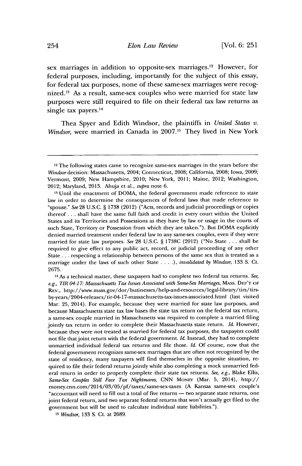sex marriages in addition to opposite-sex marriages.<sup>12</sup> However, for federal purposes, including, importantly for the subject of this essay, for federal tax purposes, none of these same-sex marriages were recognized.<sup>13</sup> As a result, same-sex couples who were married for state law purposes were still required to file on their federal tax law returns as single tax payers.<sup>14</sup>

Thea Spyer and Edith Windsor, the plaintiffs in *United States v. Windsor,* were married in Canada in **2007.'6** They lived in New York

**<sup>12</sup>**The following states came to recognize same-sex marriages in the years before the *Windsor* decision: Massachusetts, 2004; Connecticut, **2008;** California, **2008;** Iowa, **2009;** Vermont, **2009;** New Hampshire, 2010; New York, 2011; Maine, 2012; Washington, 2012; Maryland, **2013.** Ahuja et al., *supra* note **6.**

**<sup>13</sup>**Until the enactment of DOMA, the federal government made reference to state law in order to determine the consequences of federal laws that made reference to "spouse." *See* **28 U.S.C. § 1738** (2012) ("Acts, records and judicial proceedings or copies thereof. **. .** shall have the same full faith and credit in every court within the United States and its Territories and Possessions as they have **by** law or usage in the courts of such State, Territory or Possession from which they are taken."). But DOMA explicitly denied married treatment under federal law to any same-sex couples, even if they were married for state law purposes. *See* **28 U.S.C. § 1738C** (2012) ("No State **.** . **.** shall be required to give effect to any public act, record, or judicial proceeding of any other State **...** respecting a relationship between persons of the same sex that is treated as a marriage under the laws of such other State **. .. .),** *invalidated* **by** *Windsor,* **133 S.** Ct. **2675.**

**<sup>14</sup>**As a technical matter, these taxpayers had to complete two federal tax returns. *See, e.g., TIR 04-17: Massachusetts Tax Issues Associated with Same-Sex Marriages,* **MASs. DEP'T OF REV.,** http://www.mass.gov/dor/businesses/help-and-resoturces/legal-library/tirs/tirsby-years/2004-releases/tir-04-1 7-massachusetts-tax-issues-associated.html (last visited Mar. **25,** 2014). For example, because they were married for state law purposes, and because Massachusetts state tax law bases the state tax return on the federal tax return, a same-sex couple married **in** Massachusetts was required to complete a married filing jointly tax return in order to complete their Massachusetts state return. *Id.* However, because they were not treated as married for federal tax purposes, the taxpayers could not file that joint return with the federal government. *Id.* Instead, they had to complete unmarried individual federal tax returns and file those. *Id.* **Of** course, now that the federal government recognizes same-sex marriages that are often not recognized **by** the state of residency, many taxpayers will find themselves in the opposite situation, required to file their federal returns jointly while also completing a mock unmarried federal return in order to properly complete their state tax returns. *See, e.g.,* Blake Ellis, *Same-Sex Couples Still Face Tax Nightmares,* **CNN MONEY** (Mar. **5,** 2014), http:// money.cnn.com/2014/03/05/pf/taxes/same-sex-taxes **(A** Kansas same-sex couple's "accountant will need to **fill** out a total of five returns **-** two separate state returns, one joint federal return, and two separate federal returns that won't actually get filed to the government but will be used to calculate individual state liabilities.").

*<sup>15</sup> Windsor,* **133 S.** Ct. at **2689.**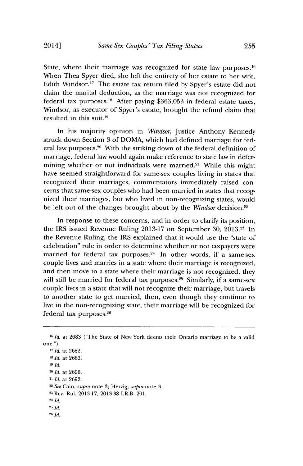State, where their marriage was recognized for state law purposes.<sup>16</sup> When Thea Spyer died, she left the entirety of her estate to her wife, Edith Windsor.'7 The estate tax return filed **by** Spyer's estate did not claim the marital deduction, as the marriage was not recognized for federal tax purposes.<sup>18</sup> After paying \$363,053 in federal estate taxes, Windsor, as executor of Spyer's estate, brought the refund claim that resulted in this suit.<sup>19</sup>

In his majority opinion in *Windsor,* Justice Anthony Kennedy struck down Section **3** of **DOMA,** which had defined marriage for federal law purposes.<sup>20</sup> With the striking down of the federal definition of marriage, federal law would again make reference to state law in determining whether or not individuals were married.<sup>21</sup> While this might have seemed straightforward for same-sex couples living in states that recognized their marriages, commentators immediately raised concerns that same-sex couples who had been married in states that recognized their marriages, but who lived in non-recognizing states, would **be** left out of the changes brought about **by** the *Windsor* decision.2 <sup>2</sup>

In response to these concerns, and in order to clarify its position, the IRS issued Revenue Ruling **2013-17** on September **30, 2013.23** In the Revenue Ruling, the IRS explained that it would use the "state of celebration" rule in order to determine whether or not taxpayers were married for federal tax purposes.<sup>24</sup> In other words, if a same-sex couple lives and marries in a state where their marriage is recognized, and then move to a state where their marriage is not recognized, they will still be married for federal tax purposes.<sup>25</sup> Similarly, if a same-sex couple lives in a state that will not recognize their marriage, but travels to another state to get married, then, even though they continue to live in the non-recognizing state, their marriage will be recognized for federal tax purposes.26

**'"** *Id.* at **2682.** *<sup>18</sup>Id.* at **2683. 19** *Id.* <sup>20</sup>*Id.* at **2696.** 21 *Id.* at **2692.** <sup>2</sup>*See* Cain, *supra* note **3;** Herzig, *supra* note **3. <sup>23</sup>**Rev. Rul. **2013-17, 2013-38** I.R.B. 201. <sup>24</sup>*Id.* **<sup>25</sup>Id. <sup>26</sup>***Id.*

**<sup>16</sup>***Id.* at **2683** ("The State of New York deems their Ontario marriage to **be** a valid one.").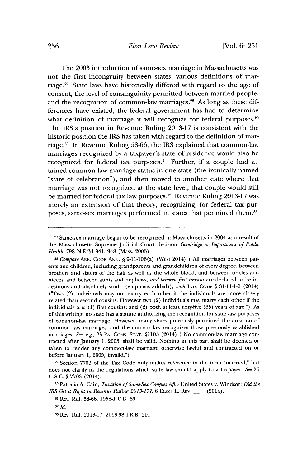The **2003** introduction of same-sex marriage in Massachusetts was not the first incongruity between states' various definitions of marriage.27 State laws have historically differed with regard to the age of consent, the level of consanguinity permitted between married people, and the recognition of common-law marriages.<sup>28</sup> As long as these differences have existed, the federal government has had to determine what definition of marriage it will recognize for federal purposes.<sup>29</sup> The IRS's position in Revenue Ruling **2013-17** is consistent with the historic position the IRS has taken with regard to the definition of marriage.<sup>30</sup> In Revenue Ruling 58-66, the IRS explained that common-law marriages recognized **by** a taxpayer's state of residence would also be recognized for federal tax purposes.<sup>31</sup> Further, if a couple had attained common law marriage status in one state (the ironically named "state of celebration"), and then moved to another state where that marriage was not recognized at the state level, that couple would still be married for federal tax law purposes.<sup>32</sup> Revenue Ruling 2013-17 was merely an extension of that theory, recognizing, for federal tax purposes, same-sex marriages performed in states that permitted them.<sup>33</sup>

**<sup>29</sup>**Section **7703** of the Tax Code only makes reference to the term "married," but does not clarify in the regulations which state law should apply to a taxpayer. *See* **26 U.S.C.** *§* **7703** (2014).

**<sup>27</sup>** Same-sex marriage began to be recognized in Massachusetts in 2004 as a result of the Massachusetts Supreme Judicial Court decision Goodridge *v. Department of Public Health,* **798 N.E.2d** 941, 948 (Mass. **2003).**

**<sup>28</sup>** *Compare* **ARK. CODE ANN.** *§* 9-11-106(a) (West 2014) **("All** marriages between parents and children, including grandparents and grandchildren of every degree, between brothers and sisters of the half as well as the whole blood, and between uncles and nieces, and between aunts and nephews, *and between first cousins* are declared to be incestuous and absolutely void." (emphasis added)), *with* **IND. CODE** *§* **31-11-1-2** (2014) ("Two (2) individuals may not marry each other if the individuals are more closely related than second cousins. However two (2) individuals may marry each other if the individuals are: **(1)** first cousins; and (2) both at least sixty-five **(65)** years of age."). As of this writing, no state has a statute authorizing the recognition for state law purposes of common-law marriage. However, many states previously permitted the creation of common law marriages, and the current law recognizes those previously established marriages. *See, e.g.,* **23 PA. CONS. STAT. §1103** (2014) ("No common-law marriage contracted after January **1, 2005,** shall be valid. Nothing in this part shall be deemed or taken to render any common-law marriage otherwise lawful and contracted on or before January **1, 2005,** invalid.")

**<sup>3</sup>o** Patricia **A.** Cain, *Taxation of Same-Sex Couples After* United States v. Windsor: *Did the IRS Get it Right in Revenue Ruling 2013-17?, 6 ELON L. REV.* \_\_\_\_ (2014).

**<sup>31</sup>**Rev. Rul. **58-66, 1958-1** C.B. **60.**

**<sup>32</sup>***Id.*

**<sup>33</sup>** Rev. Rul. **2013-17, 2013-38** I.R.B. 201.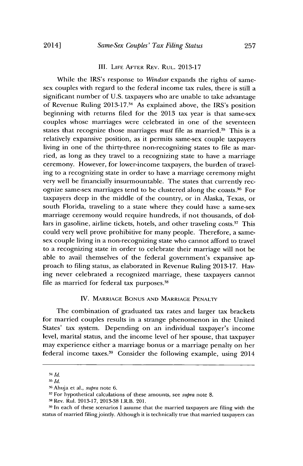#### III. **LIFE AFTER REV. RUL. 2013-17**

While the IRS's response to *Windsor* expands the rights of samesex couples with regard to the federal income tax rules, there is still a significant number of **U.S.** taxpayers who are unable to take advantage of Revenue Ruling **2013-17.34** As explained above, the IRS's position beginning with returns filed for the **2013** tax year is that same-sex couples whose marriages were celebrated in one of the seventeen states that recognize those marriages *must* file as married.<sup>35</sup> This is a relatively expansive position, as it permits same-sex couple taxpayers living in one of the thirty-three non-recognizing states to file as married, as long as they travel to a recognizing state to have a marriage ceremony. However, for lower-income taxpayers, the burden of traveling to a recognizing state in order to have a marriage ceremony might very well be financially insurmountable. The states that currently recognize same-sex marriages tend to be clustered along the coasts.16 For taxpayers deep in the middle of the country, or in Alaska, Texas, or south Florida, traveling to a state where they could have a same-sex marriage ceremony would require hundreds, if not thousands, of dollars in gasoline, airline tickets, hotels, and other traveling costs.<sup>37</sup> This could very well prove prohibitive for many people. Therefore, a samesex couple living in a non-recognizing state who cannot afford to travel to a recognizing state in order to celebrate their marriage will not **be** able to avail themselves of the federal government's expansive approach to filing status, as elaborated in Revenue Ruling **2013-17.** Having never celebrated a recognized marriage, these taxpayers cannot file as married for federal tax purposes.<sup>38</sup>

#### IV. **MARRIAGE BONUS AND MARRIAGE PENALTY**

The combination of graduated tax rates and larger tax brackets for married couples results in a strange phenomenon in the United States' tax system. Depending on an individual taxpayer's income level, marital status, and the income level of her spouse, that taxpayer may experience either a marriage bonus or a marriage penalty on her federal income taxes.<sup>39</sup> Consider the following example, using 2014

<sup>34</sup> *Id.* 

**<sup>3</sup>** *Id.*

**<sup>6</sup>G** Ahuja et al., *supra* note **6.**

**<sup>37</sup>**For hypothetical calculations of these amounts, see *supra* note **8. <sup>3</sup>**Rev. Rul. **2013-17, 2013-38** I.R.B. 201.

**<sup>3</sup>** In each of these scenarios **I** assume that the married taxpayers are filing with the status of married filing jointly. Although it is technically **true** that married taxpayers can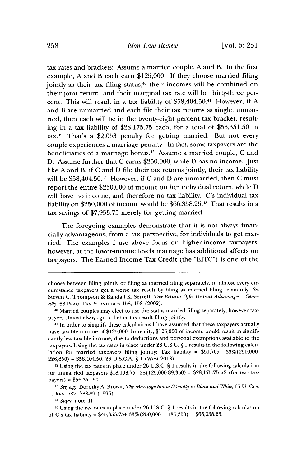tax rates and brackets: Assume a married couple, **A** and B. In the first example, **A** and B each earn **\$125,000. If** they choose married filing jointly as their tax filing status,<sup>40</sup> their incomes will be combined on their joint return, and their marginal tax rate will be thirty-three percent. This will result in a tax liability of \$58,404.50.41 However, if **A** and B are unmarried and each file their tax returns as single, unmarried, then each will be in the twenty-eight percent tax bracket, resulting in a tax liability of **\$28,175.75** each, for a total of **\$56,351.50** in tax. 42 That's a **\$2,053** penalty for getting married. But not every couple experiences a marriage penalty. In fact, some taxpayers are the beneficiaries of a marriage bonus.<sup>43</sup> Assume a married couple, C and **D.** Assume further that **C** earns **\$250,000,** while **D** has no income. Just like **A** and B, if **C** and **D** file their tax returns jointly, their tax liability will be \$58,404.50.44 However, if **C** and **D** are unmarried, then **C** must report the entire **\$250,000** of income on her individual return, while **D** will have no income, and therefore no tax liability. C's individual tax liability on **\$250,000** of income would be **\$66,358.25.45** That results in a tax savings of **\$7,953.75** merely for getting married.

The foregoing examples demonstrate that it is not always financially advantageous, from a tax perspective, for individuals to get married. The examples **I** use above focus on higher-income taxpayers, however, at the lower-income levels marriage has additional affects on taxpayers. The Earned Income Tax Credit (the **"EITC")** is one of the

**<sup>42</sup>**Using the tax rates in place under **26 U.S.C.** *§* 1 results in the following calculation for unmarried taxpayers **\$18,193.75+.28(125,000-89,350) = \$28,175.75** x2 (for two taxpayers) **= \$56,351.50.**

<sup>4</sup>*See, e.g.,* Dorothy **A.** Brown, *The Marriage Bonus/Penalty in Black and White,* **65 U.** CIN. L. Rev. 787, 788-89 (1996).

<sup>44</sup>*Supra* note 41.

4 Using the tax rates in place under **26 U.S.C.** *§* **I** results in the following calculation of C's tax liability **= \$45,353.75+ 33% (250,000 - 186,350) = \$66,358.25.**

choose between filing jointly or filing as married filing separately, in almost every circumstance taxpayers get a worse tax result **by** filing as married filing separately. *See* Steven **C.** Thompson **&** Randall K Serrett, *Tax Returns Offer Distinct Advantages-Generally,* **68** PlAc. TAX **STRATEGIES 158, 158** (2002).

<sup>4</sup> Married couples may elect to use the status married filing separately, however taxpayers almost always get a better tax result filing jointly.

**<sup>41</sup>**In order to simplify these calculations **I** have assumed that these taxpayers actually have taxable income of **\$125,000.** In reality, **\$125,000** of income would result in significandy less taxable income, due to deductions and personal exemptions available to the taxpayers. Using the tax rates in place under **26 U.S.C.** *§* 1 results in the following calculation for married taxpayers filing jointly: Tax liability **= \$50,765+ 33%(250,000- 226,850) =** \$58,404.50. **26 U.S.C.A** *§* **I** (West **2013).**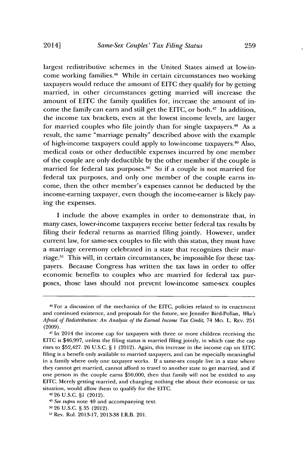largest redistributive schemes in the United States aimed at low-income working families.<sup>46</sup> While in certain circumstances two working taxpayers would reduce the amount of **EITC** they qualify for **by** getting married, in other circumstances getting married will increase the amount of **EITC** the family qualifies for, increase the amount of income the family can earn and still get the EITC, or both.<sup>47</sup> In addition, the income tax brackets, even at the lowest income levels, are larger for married couples who file jointly than for single taxpayers. 48 As a result, the same "marriage penalty" described above with the example of high-income taxpayers could apply to low-income taxpayers.49 Also, medical costs or other deductible expenses incurred **by** one member of the couple are only deductible **by** the other member if the couple is married for federal tax purposes.<sup>50</sup> So if a couple is not married for federal tax purposes, and only one member of the couple earns income, then the other member's expenses cannot be deducted **by** the income-earning taxpayer, even though the income-earner is likely paying the expenses.

I include the above examples in order to demonstrate that, in many cases, lower-income taxpayers receive better federal tax results **by** filing their federal returns as married filing jointly. However, under current law, for same-sex couples to file with this status, they must have a marriage ceremony celebrated in a state that recognizes their marriage.6' This will, in certain circumstances, be impossible for these taxpayers. Because Congress has written the tax laws in order to offer economic benefits to couples who are married for federal tax purposes, those laws should not prevent low-income same-sex couples

<sup>46</sup> For a discussion of the mechanics of the **EITC,** policies related to its enactment and continued existence, and proposals for the future, see Jennifer Bird-Pollan, *Who's Afraid of Redistibution: An Analysis of the Earned Income Tax Credit,* 74 Mo. L. REv. **251 (2009).**

<sup>47</sup> In 2014 the income cap for taxpayers with three or more children receiving the **EITC** is **\$46,997,** unless the filing status is married filing jointly, in which case the cap rises to \$52,427. **26 U.S.C.** *§* **1** (2012). Again, this increase in the income cap on EITC filing is a benefit only available to married taxpayers, and can be especially meaningful in a family where only one taxpayer works. **If** a same-sex couple live in a state where they cannot get married, cannot afford to travel to another state to get married, and if one person in the couple earns **\$50,000,** then that family will not be entitled to *any* **EITC.** Merely getting married, and changing nothing else about their economic or tax situation, would allow them to qualify for the **EITC.**

<sup>4</sup>**26 U.S.C. §1** (2012).

<sup>4</sup>*See supra* note 40 and accompanying text.

**<sup>5</sup>o 26 U.S.C.** *§* **35** (2012).

**<sup>51</sup>**Rev. Rul. **2013-17, 2013-38** I.R.B. 201.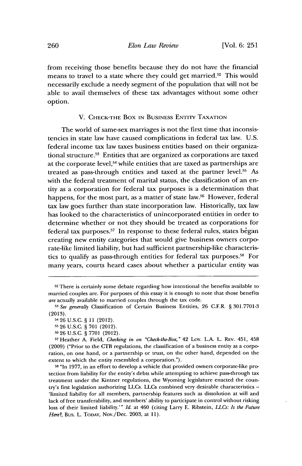from receiving those benefits because they do not have the financial means to travel to a state where they could get married.52 This would necessarily exclude a needy segment of the population that will not be able to avail themselves of these tax advantages without some other option.

V. **CHECK-THE** Box **IN** BUSINEss ENTITY TAXATION

The world of same-sex marriages is not the first time that inconsistencies in state law have caused complications in federal tax law. **U.S.** federal income tax law taxes business entities based on their organizational structure. $5<sup>3</sup>$  Entities that are organized as corporations are taxed at the corporate level,<sup>54</sup> while entities that are taxed as partnerships are treated as pass-through entities and taxed at the partner level.<sup>55</sup> As with the federal treatment of marital status, the classification of an entity as a corporation for federal tax purposes is a determination that happens, for the most part, as a matter of state law.<sup>56</sup> However, federal tax law goes further than state incorporation law. Historically, tax law has looked to the characteristics of unincorporated entities in order to determine whether or not they should be treated as corporations for federal tax purposes.<sup>57</sup> In response to these federal rules, states began creating new entity categories that would give business owners corporate-like limited liability, but had sufficient partnership-like characteristics to qualify as pass-through entities for federal tax purposes.<sup>58</sup> For many years, courts heard cases about whether a particular entity was

**58** "In **1977,** in an effort to develop a vehicle that provided owners corporate-like protection from liability for the entity's debts while attempting to achieve pass-through tax treatment under the Kintner regulations, the Wyoming legislature enacted the country's first legislation authorizing LLCs. LLCs combined very desirable characteristics **-** 'limited liability for all members, partnership features such as dissolution at will and lack of free transferability, and members' ability to participate in control without risking loss of their limited liability.'" *Id.* at 460 (citing Larry **E.** Ribstein, *LLCs: Is the Future Here?,* Bus. L. **TODAY,** Nov./Dec. **2003,** at **11).**

**<sup>52</sup>**There is certainly some debate regarding how intentional the benefits available to married couples are. For purposes of this essay it is enough to note that those benefits *are* actually available to married couples through the tax code.

**<sup>53</sup>***See generally* Classification of Certain Business Entities, **26** C.F.R. *§* **301.7701-3 (2013).**

<sup>54</sup>**26 U.S.C.** *§* **11** (2012).

**<sup>55 26</sup> U.S.C.** *§* **701** (2012).

**<sup>56 26</sup> U.S.C.** *§* **7701** (2012).

**<sup>57</sup>**Heather **A.** Field, *Checking in on "Check-the-Box,"* 42 Loy. **L.A.** L. REv. 451, 458 **(2009)** ("Prior to the CTB regulations, the classification of a business entity as a corporation, on one hand, or a partnership or trust, on the other hand, depended on the extent to which the entity resembled a corporation.").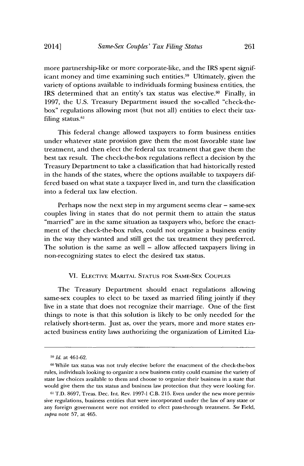more partnership-like or more corporate-like, and the IRS spent significant money and time examining such entities.59 Ultimately, given the variety of options available to individuals forming business entities, the IRS determined that an entity's tax status was elective. $60$  Finally, in **1997,** the **U.S.** Treasury Department issued the so-called "check-thebox" regulations allowing most (but not all) entities to elect their taxfiling status.<sup>61</sup>

This federal change allowed taxpayers to form business entities under whatever state provision gave them the most favorable state law treatment, and then elect the federal tax treatment that gave them the best tax result. The check-the-box regulations reflect a decision **by** the Treasury Department to take a classification that had historically rested in the hands of the states, where the options available to taxpayers differed based on what state a taxpayer lived in, and turn the classification into a federal tax law election.

Perhaps now the next step in my argument seems clear **-** same-sex couples living in states that do not permit them to attain the status "married" are in the same situation as taxpayers who, before the enactment of the check-the-box rules, could not organize a business entity in the way they wanted and still get the tax treatment they preferred. The solution is the same as well **-** allow affected taxpayers living in non-recognizing states to elect the desired tax status.

#### VI. **ELECTIVE** MARITAL **STATUS** FOR **SAME-SEX COUPLES**

The Treasury Department should enact regulations allowing same-sex couples to elect to be taxed as married filing jointly if they live in a state that does not recognize their marriage. One of the first things to note is that this solution is likely to be only needed for the relatively short-term. Just as, over the years, more and more states enacted business entity laws authorizing the organization of Limited Lia-

*<sup>19</sup> Id.* at 461-62.

<sup>6</sup>o While tax status was not truly elective before the enactment of the check-the-box rules, individuals looking to organize a new business entity could examine the variety of state law choices available to them and choose to organize their business in a state that would give them the tax status and business law protection that they were looking for.

**<sup>61</sup>** T.D. **8697,** Treas. Dec. Int. Rev. **1997-1** C.B. **215.** Even under the new more permissive regulations, business entities that were incorporated under the law of any state or any foreign government were not entitled to elect pass-through treatment. *See* Field, *supra* note **57,** at 465.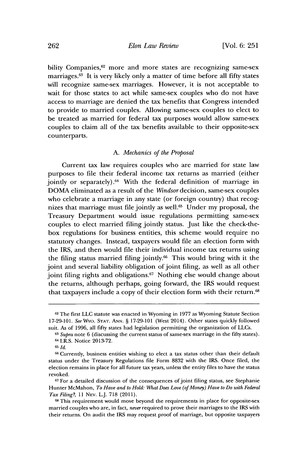bility Companies,<sup>62</sup> more and more states are recognizing same-sex marriages.<sup>63</sup> It is very likely only a matter of time before all fifty states will recognize same-sex marriages. However, it is not acceptable to wait for those states to act while same-sex couples who do not have access to marriage are denied the tax benefits that Congress intended to provide to married couples. Allowing same-sex couples to elect to be treated as married for federal tax purposes would allow same-sex couples to claim all of the tax benefits available to their opposite-sex counterparts.

#### *A. Mechanics of the Proposal*

Current tax law requires couples who are married for state law purposes to file their federal income tax returns as married (either jointly or separately).<sup>64</sup> With the federal definition of marriage in DOMA eliminated as a result of the *Windsor* decision, same-sex couples who celebrate a marriage in any state (or foreign country) that recognizes that marriage must file jointly as well.<sup>65</sup> Under my proposal, the Treasury Department would issue regulations permitting same-sex couples to elect married filing jointly status. Just like the check-thebox regulations for business entities, this scheme would require no statutory changes. Instead, taxpayers would file an election form with the IRS, and then would file their individual income tax returns using the filing status married filing jointly.<sup>66</sup> This would bring with it the joint and several liability obligation of joint filing, as well as all other joint filing rights and obligations.<sup>67</sup> Nothing else would change about the returns, although perhaps, going forward, the IRS would request that taxpayers include a copy of their election form with their return.<sup>68</sup>

**<sup>62</sup>**The first **LLC** statute was enacted in Wyoming in **1977** as Wyoming Statute Section **17-29-101.** *See* Wyo. **STAT. ANN. § 17-29-101** (West 2014). Other states quickly followed suit. As of **1996,** all fifty states had legislation permitting the organization of LLCs.

**<sup>63</sup>***Supra* note **6** (discussing the current status of same-sex marriage in the fifty states). 64 I.R.S. Notice **2013-72.**

**<sup>65</sup>***Id.*

**<sup>66</sup>**Currently, business entities wishing to elect a tax status other than their default status under the Treasury Regulations file Form **8832** with the IRS. Once filed, the election remains in place for all future tax years, unless the entity files to have the status revoked.

**<sup>67</sup>**For a detailed discussion of the consequences of joint filing status, see Stephanie Hunter McMahon, *To Have and to Hold: What Does Love (of Money) Have to Do with Federal Tax Filing?, 11* **NEV.** L.J. **718 (2011).**

**<sup>6</sup>**This requirement would move beyond the requirements in place for opposite-sex maried couples who are, in fact, *never* required to prove their marriages to the IRS with their returns. On audit the IRS may request proof of marriage, but opposite taxpayers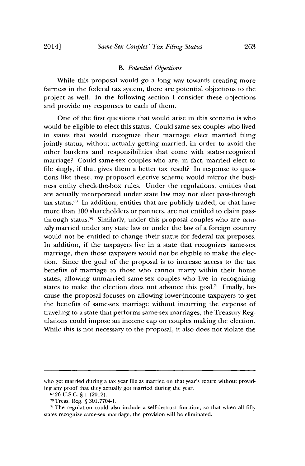#### *B. Potential Objections*

While this **proposal** would go a long way towards **creating** more fairness in the federal tax system, there are potential objections to the project as well. In the following section **I** consider these objections and provide my responses to each of them.

One of the first questions that would arise in this scenario is who would be eligible to elect this status. Could same-sex couples who lived in states that would recognize their marriage elect married filing jointly status, without actually getting married, in order to avoid the other burdens and responsibilities that come with state-recognized marriage? Could same-sex couples who are, in fact, married elect to file singly, if that gives them a better tax result? In response to questions like these, my proposed elective scheme would mirror the business entity check-the-box rules. Under the regulations, entities that are actually incorporated under state law may not elect pass-through tax status.<sup>69</sup> In addition, entities that are publicly traded, or that have more than **100** shareholders or partners, are not entitled to claim passthrough status.?0 Similarly, under this proposal couples who are *actually* married under any state law or under the law of a foreign country would not be entitled to change their status for federal tax **purposes.** In addition, if the taxpayers live in a state that recognizes same-sex marriage, then those taxpayers would not be eligible to make the election. Since the goal of the proposal is to increase access to the tax benefits of marriage to those who cannot marry within their home states, allowing unmarried same-sex couples who live in recognizing states to make the election does not advance this goal.<sup>71</sup> Finally, because the proposal focuses on allowing lower-income taxpayers to get the benefits of same-sex marriage without incurring the expense **of** traveling to a state that performs same-sex marriages, the Treasury Regulations could impose an income cap on couples making the election. While this is not necessary to the proposal, it also does not violate the

who get married during a tax year file as married on that year's return without providing any proof that they actually got married during the year.

 $^{69}$  26 U.S.C. § 1 (2012).

Treas. Reg. **§ 301.7704-1.**

**<sup>71</sup>**The regulation **could** also include a self-destruct function, so that when all fifty states recognize same-sex marriage, the provision will be eliminated.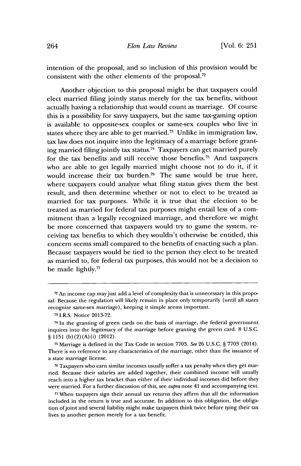intention of the proposal, and so inclusion of this provision would be consistent with the other elements of the proposal. $72$ 

Another objection to this proposal might be that taxpayers could elect married filing jointly status merely for the tax benefits, without actually having a relationship that would count as marriage. **Of** course this is a possibility for savvy taxpayers, but the same tax-gaming option is available to opposite-sex couples or same-sex couples who live in states where they are able to get married.<sup>73</sup> Unlike in immigration law, tax law does not inquire into the legitimacy of a marriage before granting married filing jointly tax status.74 Taxpayers can get married purely for the tax benefits and still receive those benefits.<sup>75</sup> And taxpayers who are able to get legally married might choose not to do it, if it would increase their tax burden.76 The same would be true here, where taxpayers could analyze what filing status gives them the best result, and then determine whether or not to elect to be treated as married for tax purposes. While it is true that the election to be treated as married for federal tax purposes might entail less of a commitment than a legally recognized marriage, and therefore we might be more concerned that taxpayers would try to game the system, receiving tax benefits to which they wouldn't otherwise be entitled, this concern seems small compared to the benefits of enacting such a plan. Because taxpayers would be tied to the person they elect to be treated as married to, for federal tax purposes, this would not be a decision to be made lightly.77

**76** Taxpayers who earn similar incomes usually suffer a tax penalty when they get married. Because their salaries are added together, their combined income will usually reach into a higher tax bracket than either of their individual incomes did before they were married. For a further discussion of this, see *supra* note 41 and accompanying text.

**<sup>72</sup>** An income cap mayjust add a level of complexity that is unnecessary in this proposal. Because the regulation will likely remain in place only temporarily (until all states recognize same-sex marriage), keeping it simple seems important.

**<sup>73</sup>**I.R.S. Notice **2013-72.**

<sup>74</sup> In the granting of green cards on the basis of marriage, the federal government inquires into the legitimacy of the marriage before granting the green card. **8 U.S.C.** *§* **1151** (b)(2) (A) (i) (2012).

**<sup>75</sup>**Marriage is defined in the Tax Code in section **7703.** See 26 **U.S.C.** *§* **7703** (2014). There is no reference to any characteristics of the marriage, other than the issuance of a state marriage license.

**<sup>77</sup>**When taxpayers sign their annual tax returns they affirm that all the information included in the return is true and accurate. In addition to this obligation, the obligation ofjoint and several liability might make taxpayers think twice before tying their tax lives to another person merely for a tax benefit.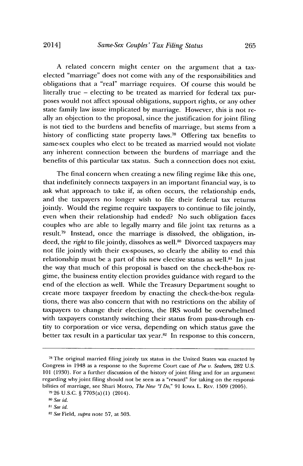**A** related concern might center on the argument that a taxelected "marriage" does not come with any of the responsibilities and obligations that a "real" marriage requires. **Of** course this would be literally true **-** electing to be treated as married for federal tax purposes would not affect spousal obligations, support rights, or any other state family law issue implicated **by** marriage. However, this is not really an objection to the proposal, since the justification for joint filing is not tied to the burdens and benefits of marriage, but stems from a history of conflicting state property laws.<sup>78</sup> Offering tax benefits to same-sex couples who elect to be treated as married would not violate any inherent connection between the burdens of marriage and the benefits **of** this particular **tax** status. Such a connection does not exist.

The final concern when creating a new filing regime like this one, that indefinitely connects taxpayers in an important financial way, is to ask what approach to take if, as often occurs, the relationship ends, and the taxpayers no longer wish to file their federal tax returns jointly. Would the regime require taxpayers to continue to file jointly, even when their relationship had ended? No such obligation faces couples who are able to legally marry and file joint tax returns as a result.<sup>79</sup> Instead, once the marriage is dissolved, the obligation, indeed, the *right* to file jointly, dissolves as well.<sup>80</sup> Divorced taxpayers may not file jointly with their ex-spouses, so clearly the ability to end this relationship must be a part of this new elective status as well.<sup>81</sup> In just the way that much of this proposal is based on the check-the-box regime, the business entity election provides guidance with regard to the end of the election as well. While the Treasury Department sought to create more taxpayer freedom **by** enacting the check-the-box regulations, there was also concern that with no restrictions on the ability of taxpayers to change their elections, the IRS would be overwhelmed with taxpayers constantly switching their status from pass-through entity to corporation or vice versa, depending on which status gave the better tax result in a particular tax year.<sup>82</sup> In response to this concern,

**<sup>78</sup>**The original married filing jointly tax status in the United States was enacted **by** Congress in 1948 as a response to the Supreme Court case of *Poe v. Seaborn,* **282 U.S. 101 (1930).** For a further discussion of the history of joint filing and for an argument regarding why joint filing should not be seen as a "reward" for taking on the responsibilities of marriage, see Shari Motro, *The New "I Do*," 91 Iowa L. REV. 1509 (2005).

**<sup>7 26</sup> U.S.C.** *§* **7703(a) (1)** (2014).

*<sup>8</sup> See id.*

*<sup>81</sup> See id.*

**<sup>82</sup>***See Field, supra* note **57,** at **503.**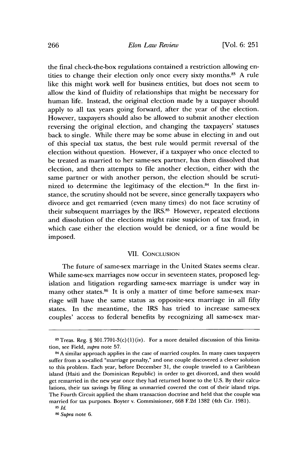the final check-the-box regulations contained a restriction allowing entities to change their election only once every sixty months.<sup>83</sup> A rule like this might work well for business entities, but does not seem to allow the kind of fluidity of relationships that might be necessary for human life. Instead, the original election made **by** a taxpayer should apply to all tax years going forward, after the year of the election. However, taxpayers should also be allowed to submit another election reversing the original election, and changing the taxpayers' statuses back to single. While there may be some abuse in electing in and out of this special tax status, the best rule would permit reversal of the election without question. However, if a taxpayer who once elected to be treated as married to her same-sex partner, has then dissolved that election, and then attempts to file another election, either with the same partner or with another person, the election should be scrutinized to determine the legitimacy of the election. $84$  In the first instance, the scrutiny should not be severe, since generally taxpayers who divorce and get remarried (even many times) do not face scrutiny of their subsequent marriages **by** the IRS.85 However, repeated elections and dissolution of the elections might raise suspicion of tax fraud, in which case either the election would be denied, or a fine would be imposed.

#### VII. **CONCLUSION**

The future of same-sex marriage in the United States seems clear. While same-sex marriages now occur in seventeen states, proposed legislation and litigation regarding same-sex marriage is under way in many other states.<sup>86</sup> It is only a matter of time before same-sex marriage will have the same status as opposite-sex marriage in all fifty states. In the meantime, the IRS has tried to increase same-sex couples' access to federal benefits **by** recognizing all same-sex mar-

<sup>83</sup>Treas. Reg. *§* 301.7701-3(c)(1)(iv). For a more detailed discussion of this limitation, see Field, *supra* note **57.**

**<sup>84</sup> A** similar approach applies in the case of married couples. In many cases taxpayers suffer from a so-called "marriage penalty," and one couple discovered a clever solution to this problem. Each year, before December **31,** the couple traveled to a Caribbean island (Haiti and the Dominican Republic) in order to get divorced, and then would get remarried in the new year once they had returned home to the **U.S. By** their calculations, their tax savings **by** filing as unmarried covered the cost of their island trips. The Fourth Circuit applied the sham transaction doctrine and held that the couple was married for tax purposes. Boyter v. Commissioner, **668 F.2d 1382** (4th Cir. **1981).**

**<sup>85</sup>***Id.*

**<sup>86</sup>***Supra* note **6.**